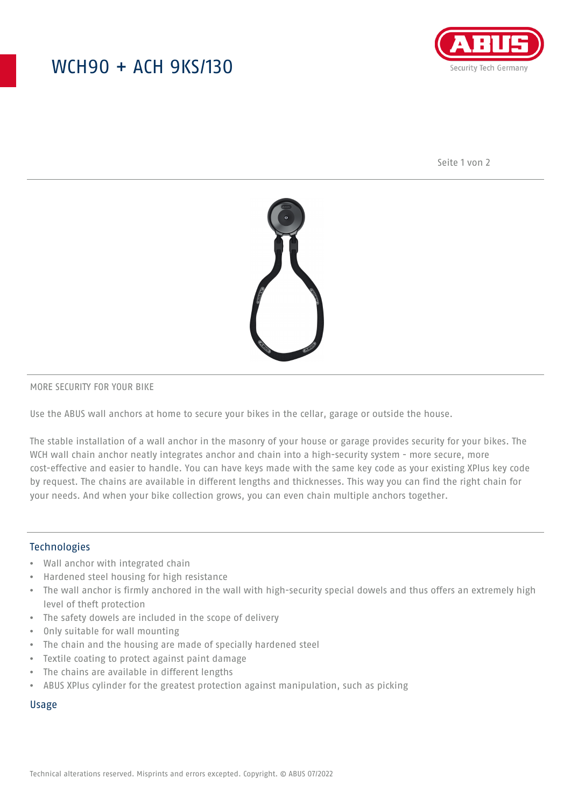## WCH90 + ACH 9KS/130



Seite 1 von 2



#### MORE SECURITY FOR YOUR BIKE

Use the ABUS wall anchors at home to secure your bikes in the cellar, garage or outside the house.

The stable installation of a wall anchor in the masonry of your house or garage provides security for your bikes. The WCH wall chain anchor neatly integrates anchor and chain into a high-security system - more secure, more cost-effective and easier to handle. You can have keys made with the same key code as your existing XPlus key code by request. The chains are available in different lengths and thicknesses. This way you can find the right chain for your needs. And when your bike collection grows, you can even chain multiple anchors together.

#### Technologies

- Wall anchor with integrated chain
- Hardened steel housing for high resistance
- The wall anchor is firmly anchored in the wall with high-security special dowels and thus offers an extremely high level of theft protection
- The safety dowels are included in the scope of delivery
- Only suitable for wall mounting
- The chain and the housing are made of specially hardened steel
- Textile coating to protect against paint damage
- The chains are available in different lengths
- ABUS XPlus cylinder for the greatest protection against manipulation, such as picking

#### Usage